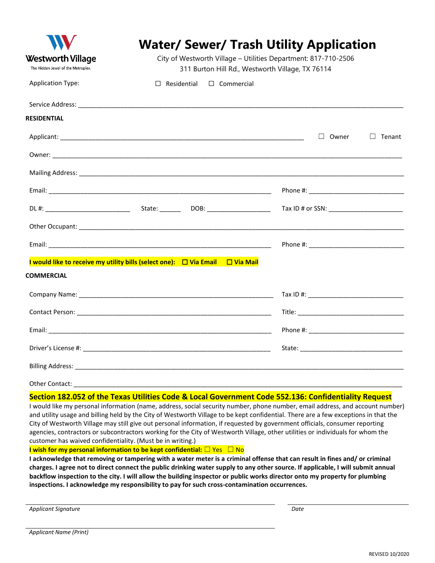|                                                                |                                                                                                                    | <b>Water/ Sewer/ Trash Utility Application</b>                                                       |  |  |  |
|----------------------------------------------------------------|--------------------------------------------------------------------------------------------------------------------|------------------------------------------------------------------------------------------------------|--|--|--|
| <b>Westworth Village</b><br>The Hidden Jewel of the Metroplex. | City of Westworth Village - Utilities Department: 817-710-2506<br>311 Burton Hill Rd., Westworth Village, TX 76114 |                                                                                                      |  |  |  |
| <b>Application Type:</b>                                       | $\Box$ Commercial<br>$\Box$ Residential                                                                            |                                                                                                      |  |  |  |
|                                                                |                                                                                                                    |                                                                                                      |  |  |  |
| <b>RESIDENTIAL</b>                                             |                                                                                                                    |                                                                                                      |  |  |  |
|                                                                |                                                                                                                    | $\Box$ Owner<br>$\Box$ Tenant                                                                        |  |  |  |
|                                                                |                                                                                                                    |                                                                                                      |  |  |  |
|                                                                |                                                                                                                    |                                                                                                      |  |  |  |
|                                                                |                                                                                                                    |                                                                                                      |  |  |  |
|                                                                |                                                                                                                    | Tax ID # or SSN: __________________________                                                          |  |  |  |
|                                                                |                                                                                                                    |                                                                                                      |  |  |  |
|                                                                |                                                                                                                    |                                                                                                      |  |  |  |
|                                                                | I would like to receive my utility bills (select one): $\Box$ Via Email $\Box$ Via Mail                            |                                                                                                      |  |  |  |
| <b>COMMERCIAL</b>                                              |                                                                                                                    |                                                                                                      |  |  |  |
|                                                                |                                                                                                                    |                                                                                                      |  |  |  |
|                                                                |                                                                                                                    |                                                                                                      |  |  |  |
|                                                                |                                                                                                                    |                                                                                                      |  |  |  |
|                                                                |                                                                                                                    |                                                                                                      |  |  |  |
|                                                                |                                                                                                                    |                                                                                                      |  |  |  |
|                                                                |                                                                                                                    |                                                                                                      |  |  |  |
|                                                                |                                                                                                                    | Section 182.052 of the Texas Utilities Code & Local Government Code 552.136: Confidentiality Request |  |  |  |

I would like my personal information (name, address, social security number, phone number, email address, and account number) and utility usage and billing held by the City of Westworth Village to be kept confidential. There are a few exceptions in that the City of Westworth Village may still give out personal information, if requested by government officials, consumer reporting agencies, contractors or subcontractors working for the City of Westworth Village, other utilities or individuals for whom the customer has waived confidentiality. (Must be in writing.)

**I wish for my personal information to be kept confidential:** □ Yes □ No

**I acknowledge that removing or tampering with a water meter is a criminal offense that can result in fines and/ or criminal charges. I agree not to direct connect the public drinking water supply to any other source. If applicable, I will submit annual backflow inspection to the city. I will allow the building inspector or public works director onto my property for plumbing inspections. I acknowledge my responsibility to pay for such cross-contamination occurrences.**

*Applicant Signature Date*